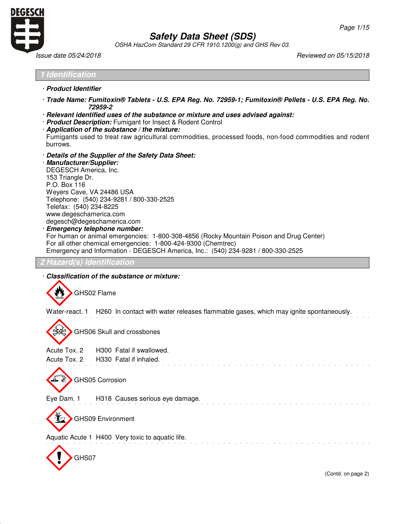

Г

# **Safety Data Sheet (SDS)**

OSHA HazCom Standard 29 CFR 1910.1200(g) and GHS Rev 03.

Issue date 05/24/2018 Reviewed on 05/15/2018

| <i><u><b>Identification</b></u></i>                                                                                                                                                                                                                                                                                                                                                                                                                                                                                                                                                     |
|-----------------------------------------------------------------------------------------------------------------------------------------------------------------------------------------------------------------------------------------------------------------------------------------------------------------------------------------------------------------------------------------------------------------------------------------------------------------------------------------------------------------------------------------------------------------------------------------|
| · Product Identifier                                                                                                                                                                                                                                                                                                                                                                                                                                                                                                                                                                    |
| · Trade Name: Fumitoxin® Tablets - U.S. EPA Reg. No. 72959-1; Fumitoxin® Pellets - U.S. EPA Reg. No.<br>72959-2                                                                                                                                                                                                                                                                                                                                                                                                                                                                         |
| · Relevant identified uses of the substance or mixture and uses advised against:<br>· Product Description: Fumigant for Insect & Rodent Control<br>Application of the substance / the mixture:<br>Fumigants used to treat raw agricultural commodities, processed foods, non-food commodities and rodent<br>burrows.                                                                                                                                                                                                                                                                    |
| Details of the Supplier of the Safety Data Sheet:<br>· Manufacturer/Supplier:<br>DEGESCH America, Inc.<br>153 Triangle Dr.<br>P.O. Box 116<br>Weyers Cave, VA 24486 USA<br>Telephone: (540) 234-9281 / 800-330-2525<br>Telefax: (540) 234-8225<br>www.degeschamerica.com<br>degesch@degeschamerica.com<br>· Emergency telephone number:<br>For human or animal emergencies: 1-800-308-4856 (Rocky Mountain Poison and Drug Center)<br>For all other chemical emergencies: 1-800-424-9300 (Chemtrec)<br>Emergency and Information - DEGESCH America, Inc.: (540) 234-9281 / 800-330-2525 |
| <b>Hazard(s) Identification</b>                                                                                                                                                                                                                                                                                                                                                                                                                                                                                                                                                         |
| Classification of the substance or mixture:                                                                                                                                                                                                                                                                                                                                                                                                                                                                                                                                             |
| GHS02 Flame                                                                                                                                                                                                                                                                                                                                                                                                                                                                                                                                                                             |
| Water-react. 1 H260 In contact with water releases flammable gases, which may ignite spontaneously.                                                                                                                                                                                                                                                                                                                                                                                                                                                                                     |
| GHS06 Skull and crossbones                                                                                                                                                                                                                                                                                                                                                                                                                                                                                                                                                              |
| Acute Tox. 2<br>H300 Fatal if swallowed.                                                                                                                                                                                                                                                                                                                                                                                                                                                                                                                                                |
| Acute Tox. 2<br>H330 Fatal if inhaled.                                                                                                                                                                                                                                                                                                                                                                                                                                                                                                                                                  |
| GHS05 Corrosion                                                                                                                                                                                                                                                                                                                                                                                                                                                                                                                                                                         |
| Eye Dam. 1<br>H318 Causes serious eye damage.                                                                                                                                                                                                                                                                                                                                                                                                                                                                                                                                           |
| <b>GHS09 Environment</b>                                                                                                                                                                                                                                                                                                                                                                                                                                                                                                                                                                |
| Aquatic Acute 1 H400 Very toxic to aquatic life.                                                                                                                                                                                                                                                                                                                                                                                                                                                                                                                                        |
| GHS07                                                                                                                                                                                                                                                                                                                                                                                                                                                                                                                                                                                   |
|                                                                                                                                                                                                                                                                                                                                                                                                                                                                                                                                                                                         |
| (Contd. on page 2)                                                                                                                                                                                                                                                                                                                                                                                                                                                                                                                                                                      |
|                                                                                                                                                                                                                                                                                                                                                                                                                                                                                                                                                                                         |
|                                                                                                                                                                                                                                                                                                                                                                                                                                                                                                                                                                                         |
|                                                                                                                                                                                                                                                                                                                                                                                                                                                                                                                                                                                         |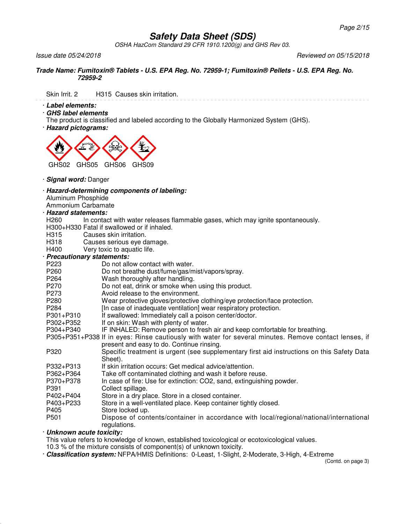OSHA HazCom Standard 29 CFR 1910.1200(g) and GHS Rev 03.

Issue date 05/24/2018 Reviewed on 05/15/2018

#### **Trade Name: Fumitoxin® Tablets - U.S. EPA Reg. No. 72959-1; Fumitoxin® Pellets - U.S. EPA Reg. No. 72959-2**

Skin Irrit. 2 H315 Causes skin irritation.

· **Label elements:**

· **GHS label elements**

The product is classified and labeled according to the Globally Harmonized System (GHS).

· **Hazard pictograms:**



- · **Signal word:** Danger
- · **Hazard-determining components of labeling:**
- Aluminum Phosphide
- Ammonium Carbamate
- · **Hazard statements:**
- H260 In contact with water releases flammable gases, which may ignite spontaneously.
- H300+H330 Fatal if swallowed or if inhaled.
- H315 Causes skin irritation.<br>H318 Causes serious eve d
- H318 Causes serious eye damage.<br>H400 Very toxic to aquatic life.
- Very toxic to aquatic life.

### · **Precautionary statements:**

- P223 Do not allow contact with water.
- P260 Do not breathe dust/fume/gas/mist/vapors/spray.
- P264 Wash thoroughly after handling.
- P270 Do not eat, drink or smoke when using this product.
- P273 Avoid release to the environment.
- P280 Wear protective gloves/protective clothing/eye protection/face protection.
- P284 [In case of inadequate ventilation] wear respiratory protection.<br>P301+P310 If swallowed: Immediately call a poison center/doctor.
- P301+P310 If swallowed: Immediately call a poison center/doctor.<br>P302+P352 If on skin: Wash with plenty of water.
- If on skin: Wash with plenty of water.
- P304+P340 IF INHALED: Remove person to fresh air and keep comfortable for breathing.
- P305+P351+P338 If in eyes: Rinse cautiously with water for several minutes. Remove contact lenses, if present and easy to do. Continue rinsing.
- P320 Specific treatment is urgent (see supplementary first aid instructions on this Safety Data Sheet).
- P332+P313 If skin irritation occurs: Get medical advice/attention.
- P362+P364 Take off contaminated clothing and wash it before reuse.
- P370+P378 In case of fire: Use for extinction: CO2, sand, extinguishing powder.
- P391 Collect spillage.
- P402+P404 Store in a dry place. Store in a closed container.
- P403+P233 Store in a well-ventilated place. Keep container tightly closed.
- P405 Store locked up.
- P501 Dispose of contents/container in accordance with local/regional/national/international regulations.

## · **Unknown acute toxicity:**

This value refers to knowledge of known, established toxicological or ecotoxicological values.

10.3 % of the mixture consists of component(s) of unknown toxicity.

· **Classification system:** NFPA/HMIS Definitions: 0-Least, 1-Slight, 2-Moderate, 3-High, 4-Extreme

(Contd. on page 3)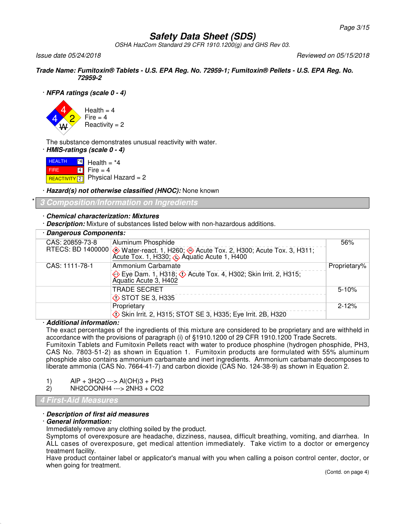OSHA HazCom Standard 29 CFR 1910.1200(g) and GHS Rev 03.

Issue date 05/24/2018 Reviewed on 05/15/2018

**Trade Name: Fumitoxin® Tablets - U.S. EPA Reg. No. 72959-1; Fumitoxin® Pellets - U.S. EPA Reg. No. 72959-2**

### · **NFPA ratings (scale 0 - 4)**



The substance demonstrates unusual reactivity with water.

· **HMIS-ratings (scale 0 - 4)**

**HEALTH FIRE** <mark>REACTIVITY</mark> 2  $|4|$ 4 Health  $=$   $*4$  $Fire = 4$ Physical Hazard = 2

· **Hazard(s) not otherwise classified (HNOC):** None known

\* **3 Composition/Information on Ingredients**

### · **Chemical characterization: Mixtures**

· **Description:** Mixture of substances listed below with non-hazardous additions.

| · Dangerous Components: |                                                                                                                              |              |  |  |
|-------------------------|------------------------------------------------------------------------------------------------------------------------------|--------------|--|--|
| CAS: 20859-73-8         | Aluminum Phosphide                                                                                                           | 56%          |  |  |
|                         | RTECS: BD 1400000 Water-react. 1, H260; Acute Tox. 2, H300; Acute Tox. 3, H311;<br>Acute Tox. 1, H330; Aquatic Acute 1, H400 |              |  |  |
| CAS: 1111-78-1          | Ammonium Carbamate                                                                                                           | Proprietary% |  |  |
|                         | Eye Dam. 1, H318; $\Diamond$ Acute Tox. 4, H302; Skin Irrit. 2, H315;<br>Aquatic Acute 3, H402                               |              |  |  |
|                         | <b>TRADE SECRET</b>                                                                                                          | $5 - 10%$    |  |  |
|                         | <b>♦ STOT SE 3, H335</b>                                                                                                     |              |  |  |
|                         | Proprietary                                                                                                                  | $2 - 12%$    |  |  |
|                         | Skin Irrit. 2, H315; STOT SE 3, H335; Eye Irrit. 2B, H320                                                                    |              |  |  |

### · **Additional information:**

The exact percentages of the ingredients of this mixture are considered to be proprietary and are withheld in accordance with the provisions of paragraph (i) of §1910.1200 of 29 CFR 1910.1200 Trade Secrets. Fumitoxin Tablets and Fumitoxin Pellets react with water to produce phosphine (hydrogen phosphide, PH3, CAS No. 7803-51-2) as shown in Equation 1. Fumitoxin products are formulated with 55% aluminum phosphide also contains ammonium carbamate and inert ingredients. Ammonium carbamate decomposes to liberate ammonia (CAS No. 7664-41-7) and carbon dioxide (CAS No. 124-38-9) as shown in Equation 2.

| AIP + 3H2O ---> AI(OH)3 + PH3<br>1) |
|-------------------------------------|
|-------------------------------------|

```
2) NH2COONH4 ---> 2NH3 + CO2
```
### **4 First-Aid Measures**

### · **Description of first aid measures**

### · **General information:**

Immediately remove any clothing soiled by the product.

Symptoms of overexposure are headache, dizziness, nausea, difficult breathing, vomiting, and diarrhea. In ALL cases of overexposure, get medical attention immediately. Take victim to a doctor or emergency treatment facility.

Have product container label or applicator's manual with you when calling a poison control center, doctor, or when going for treatment.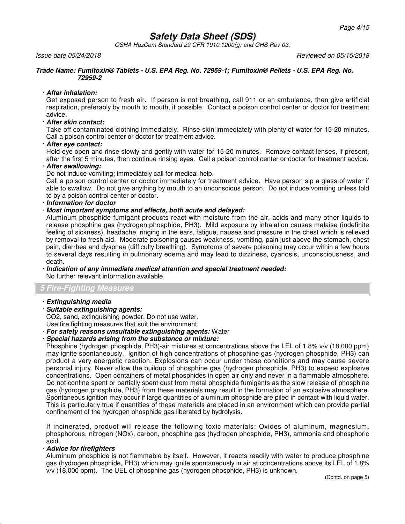OSHA HazCom Standard 29 CFR 1910.1200(g) and GHS Rev 03.

Issue date 05/24/2018 Reviewed on 05/15/2018

#### **Trade Name: Fumitoxin® Tablets - U.S. EPA Reg. No. 72959-1; Fumitoxin® Pellets - U.S. EPA Reg. No. 72959-2**

### · **After inhalation:**

Get exposed person to fresh air. If person is not breathing, call 911 or an ambulance, then give artificial respiration, preferably by mouth to mouth, if possible. Contact a poison control center or doctor for treatment advice.

## · **After skin contact:**

Take off contaminated clothing immediately. Rinse skin immediately with plenty of water for 15-20 minutes. Call a poison control center or doctor for treatment advice.

### · **After eye contact:**

Hold eye open and rinse slowly and gently with water for 15-20 minutes. Remove contact lenses, if present, after the first 5 minutes, then continue rinsing eyes. Call a poison control center or doctor for treatment advice.

### · **After swallowing:**

Do not induce vomiting; immediately call for medical help.

Call a poison control center or doctor immediately for treatment advice. Have person sip a glass of water if able to swallow. Do not give anything by mouth to an unconscious person. Do not induce vomiting unless told to by a poison control center or doctor.

### · **Information for doctor**

### · **Most important symptoms and effects, both acute and delayed:**

Aluminum phosphide fumigant products react with moisture from the air, acids and many other liquids to release phosphine gas (hydrogen phosphide, PH3). Mild exposure by inhalation causes malaise (indefinite feeling of sickness), headache, ringing in the ears, fatigue, nausea and pressure in the chest which is relieved by removal to fresh aid. Moderate poisoning causes weakness, vomiting, pain just above the stomach, chest pain, diarrhea and dyspnea (difficulty breathing). Symptoms of severe poisoning may occur within a few hours to several days resulting in pulmonary edema and may lead to dizziness, cyanosis, unconsciousness, and death.

#### · **Indication of any immediate medical attention and special treatment needed:** No further relevant information available.

## **5 Fire-Fighting Measures**

### · **Extinguishing media**

· **Suitable extinguishing agents:**

CO2, sand, extinguishing powder. Do not use water. Use fire fighting measures that suit the environment.

# · **For safety reasons unsuitable extinguishing agents:** Water

· **Special hazards arising from the substance or mixture:**

Phosphine (hydrogen phosphide, PH3)-air mixtures at concentrations above the LEL of 1.8% v/v (18,000 ppm) may ignite spontaneously. Ignition of high concentrations of phosphine gas (hydrogen phosphide, PH3) can product a very energetic reaction. Explosions can occur under these conditions and may cause severe personal injury. Never allow the buildup of phosphine gas (hydrogen phosphide, PH3) to exceed explosive concentrations. Open containers of metal phosphides in open air only and never in a flammable atmosphere. Do not confine spent or partially spent dust from metal phosphide fumigants as the slow release of phosphine gas (hydrogen phosphide, PH3) from these materials may result in the formation of an explosive atmosphere. Spontaneous ignition may occur if large quantities of aluminum phosphide are piled in contact with liquid water. This is particularly true if quantities of these materials are placed in an environment which can provide partial confinement of the hydrogen phosphide gas liberated by hydrolysis.

If incinerated, product will release the following toxic materials: Oxides of aluminum, magnesium, phosphorous, nitrogen (NOx), carbon, phosphine gas (hydrogen phosphide, PH3), ammonia and phosphoric acid.

### · **Advice for firefighters**

Aluminum phosphide is not flammable by itself. However, it reacts readily with water to produce phosphine gas (hydrogen phosphide, PH3) which may ignite spontaneously in air at concentrations above its LEL of 1.8% v/v (18,000 ppm). The UEL of phosphine gas (hydrogen phosphide, PH3) is unknown.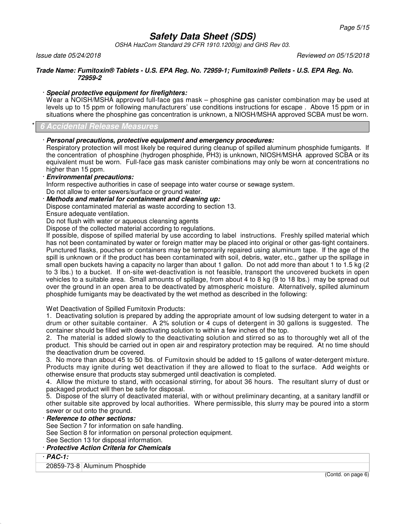OSHA HazCom Standard 29 CFR 1910.1200(g) and GHS Rev 03.

Issue date 05/24/2018 Reviewed on 05/15/2018

#### **Trade Name: Fumitoxin® Tablets - U.S. EPA Reg. No. 72959-1; Fumitoxin® Pellets - U.S. EPA Reg. No. 72959-2**

### · **Special protective equipment for firefighters:**

Wear a NOISH/MSHA approved full-face gas mask – phosphine gas canister combination may be used at levels up to 15 ppm or following manufacturers' use conditions instructions for escape . Above 15 ppm or in situations where the phosphine gas concentration is unknown, a NIOSH/MSHA approved SCBA must be worn.

### \* **6 Accidental Release Measures**

### · **Personal precautions, protective equipment and emergency procedures:**

Respiratory protection will most likely be required during cleanup of spilled aluminum phosphide fumigants. If the concentration of phosphine (hydrogen phosphide, PH3) is unknown, NIOSH/MSHA approved SCBA or its equivalent must be worn. Full-face gas mask canister combinations may only be worn at concentrations no higher than 15 ppm.

### · **Environmental precautions:**

Inform respective authorities in case of seepage into water course or sewage system.

Do not allow to enter sewers/surface or ground water.

· **Methods and material for containment and cleaning up:**

Dispose contaminated material as waste according to section 13.

Ensure adequate ventilation.

Do not flush with water or aqueous cleansing agents

Dispose of the collected material according to regulations.

If possible, dispose of spilled material by use according to label instructions. Freshly spilled material which has not been contaminated by water or foreign matter may be placed into original or other gas-tight containers. Punctured flasks, pouches or containers may be temporarily repaired using aluminum tape. If the age of the spill is unknown or if the product has been contaminated with soil, debris, water, etc., gather up the spillage in small open buckets having a capacity no larger than about 1 gallon. Do not add more than about 1 to 1.5 kg (2 to 3 lbs.) to a bucket. If on-site wet-deactivation is not feasible, transport the uncovered buckets in open vehicles to a suitable area. Small amounts of spillage, from about 4 to 8 kg (9 to 18 lbs.) may be spread out over the ground in an open area to be deactivated by atmospheric moisture. Alternatively, spilled aluminum phosphide fumigants may be deactivated by the wet method as described in the following:

Wet Deactivation of Spilled Fumitoxin Products:

1. Deactivating solution is prepared by adding the appropriate amount of low sudsing detergent to water in a drum or other suitable container. A 2% solution or 4 cups of detergent in 30 gallons is suggested. The container should be filled with deactivating solution to within a few inches of the top.

2. The material is added slowly to the deactivating solution and stirred so as to thoroughly wet all of the product. This should be carried out in open air and respiratory protection may be required. At no time should the deactivation drum be covered.

3. No more than about 45 to 50 lbs. of Fumitoxin should be added to 15 gallons of water-detergent mixture. Products may ignite during wet deactivation if they are allowed to float to the surface. Add weights or otherwise ensure that products stay submerged until deactivation is completed.

4. Allow the mixture to stand, with occasional stirring, for about 36 hours. The resultant slurry of dust or packaged product will then be safe for disposal.

5. Dispose of the slurry of deactivated material, with or without preliminary decanting, at a sanitary landfill or other suitable site approved by local authorities. Where permissible, this slurry may be poured into a storm sewer or out onto the ground.

### · **Reference to other sections:**

See Section 7 for information on safe handling.

See Section 8 for information on personal protection equipment.

See Section 13 for disposal information.

## · **Protective Action Criteria for Chemicals**

· **PAC-1:**

20859-73-8 Aluminum Phosphide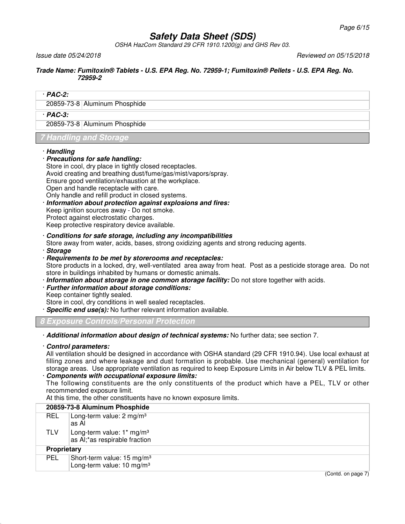OSHA HazCom Standard 29 CFR 1910.1200(g) and GHS Rev 03.

Issue date 05/24/2018 Reviewed on 05/15/2018

#### **Trade Name: Fumitoxin® Tablets - U.S. EPA Reg. No. 72959-1; Fumitoxin® Pellets - U.S. EPA Reg. No. 72959-2**

### · **PAC-2:**

20859-73-8 Aluminum Phosphide

### · **PAC-3:**

20859-73-8 Aluminum Phosphide

*Thandling and S* 

### · **Handling**

· **Precautions for safe handling:**

Store in cool, dry place in tightly closed receptacles. Avoid creating and breathing dust/fume/gas/mist/vapors/spray. Ensure good ventilation/exhaustion at the workplace.

Open and handle receptacle with care.

Only handle and refill product in closed systems.

· **Information about protection against explosions and fires:** Keep ignition sources away - Do not smoke. Protect against electrostatic charges. Keep protective respiratory device available.

### · **Conditions for safe storage, including any incompatibilities**

Store away from water, acids, bases, strong oxidizing agents and strong reducing agents.

· **Storage**

### · **Requirements to be met by storerooms and receptacles:**

Store products in a locked, dry, well-ventilated area away from heat. Post as a pesticide storage area. Do not store in buildings inhabited by humans or domestic animals.

· **Information about storage in one common storage facility:** Do not store together with acids.

## · **Further information about storage conditions:**

Keep container tightly sealed.

Store in cool, dry conditions in well sealed receptacles.

· **Specific end use(s):** No further relevant information available.

**8 Exposure Controls/Personal Protection**

· **Additional information about design of technical systems:** No further data; see section 7.

### · **Control parameters:**

All ventilation should be designed in accordance with OSHA standard (29 CFR 1910.94). Use local exhaust at filling zones and where leakage and dust formation is probable. Use mechanical (general) ventilation for storage areas. Use appropriate ventilation as required to keep Exposure Limits in Air below TLV & PEL limits.

## · **Components with occupational exposure limits:**

The following constituents are the only constituents of the product which have a PEL, TLV or other recommended exposure limit.

At this time, the other constituents have no known exposure limits.

|             | 20859-73-8 Aluminum Phosphide                                                   |
|-------------|---------------------------------------------------------------------------------|
| REL         | Long-term value: 2 mg/m <sup>3</sup><br>as Al                                   |
| TLV         | Long-term value: $1*$ mg/m <sup>3</sup><br>as Al;*as respirable fraction        |
| Proprietary |                                                                                 |
| <b>PEL</b>  | Short-term value: 15 mg/m <sup>3</sup><br>Long-term value: 10 mg/m <sup>3</sup> |

(Contd. on page 7)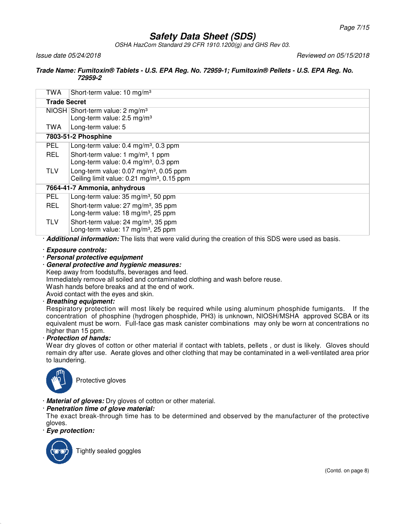OSHA HazCom Standard 29 CFR 1910.1200(g) and GHS Rev 03.

Issue date 05/24/2018 Reviewed on 05/15/2018

#### **Trade Name: Fumitoxin® Tablets - U.S. EPA Reg. No. 72959-1; Fumitoxin® Pellets - U.S. EPA Reg. No. 72959-2**

| <b>Trade Secret</b><br>$NIOSH$ Short-term value: 2 mg/m <sup>3</sup><br>Long-term value: 2.5 mg/m <sup>3</sup><br>Long-term value: 5<br>TWA |  |  |  |  |  |
|---------------------------------------------------------------------------------------------------------------------------------------------|--|--|--|--|--|
|                                                                                                                                             |  |  |  |  |  |
|                                                                                                                                             |  |  |  |  |  |
|                                                                                                                                             |  |  |  |  |  |
| 7803-51-2 Phosphine                                                                                                                         |  |  |  |  |  |
| <b>PEL</b><br>Long-term value: $0.4 \text{ mg/m}^3$ , $0.3 \text{ ppm}$                                                                     |  |  |  |  |  |
| <b>REL</b><br>Short-term value: 1 mg/m <sup>3</sup> , 1 ppm<br>Long-term value: $0.4 \text{ mg/m}^3$ , $0.3 \text{ ppm}$                    |  |  |  |  |  |
| <b>TLV</b><br>Long-term value: $0.07 \text{ mg/m}^3$ , $0.05 \text{ ppm}$<br>Ceiling limit value: 0.21 mg/m <sup>3</sup> , 0.15 ppm         |  |  |  |  |  |
| 7664-41-7 Ammonia, anhydrous                                                                                                                |  |  |  |  |  |
| PEL.<br>Long-term value: 35 mg/m <sup>3</sup> , 50 ppm                                                                                      |  |  |  |  |  |
| <b>REL</b><br>Short-term value: 27 mg/m <sup>3</sup> , 35 ppm<br>Long-term value: 18 mg/m <sup>3</sup> , 25 ppm                             |  |  |  |  |  |
| <b>TLV</b><br>Short-term value: 24 mg/m <sup>3</sup> , 35 ppm<br>Long-term value: 17 mg/m <sup>3</sup> , 25 ppm                             |  |  |  |  |  |

· **Additional information:** The lists that were valid during the creation of this SDS were used as basis.

· **Exposure controls:**

- · **Personal protective equipment**
- · **General protective and hygienic measures:**
- Keep away from foodstuffs, beverages and feed.

Immediately remove all soiled and contaminated clothing and wash before reuse.

Wash hands before breaks and at the end of work.

Avoid contact with the eyes and skin.

### · **Breathing equipment:**

Respiratory protection will most likely be required while using aluminum phosphide fumigants. If the concentration of phosphine (hydrogen phosphide, PH3) is unknown, NIOSH/MSHA approved SCBA or its equivalent must be worn. Full-face gas mask canister combinations may only be worn at concentrations no higher than 15 ppm.

## · **Protection of hands:**

Wear dry gloves of cotton or other material if contact with tablets, pellets, or dust is likely. Gloves should remain dry after use. Aerate gloves and other clothing that may be contaminated in a well-ventilated area prior to laundering.



Protective gloves

· **Material of gloves:** Dry gloves of cotton or other material.

## · **Penetration time of glove material:**

The exact break-through time has to be determined and observed by the manufacturer of the protective gloves.

· **Eye protection:**



Tightly sealed goggles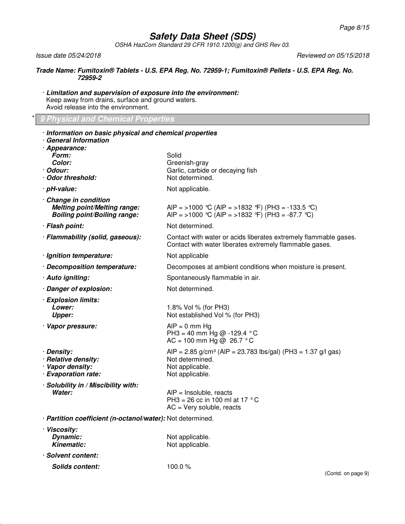OSHA HazCom Standard 29 CFR 1910.1200(g) and GHS Rev 03.

Issue date 05/24/2018 Reviewed on 05/15/2018

#### **Trade Name: Fumitoxin® Tablets - U.S. EPA Reg. No. 72959-1; Fumitoxin® Pellets - U.S. EPA Reg. No. 72959-2**

· **Limitation and supervision of exposure into the environment:** Keep away from drains, surface and ground waters. Avoid release into the environment.

### \* **9 Physical and Chemical Properties**

| · Information on basic physical and chemical properties<br>· General Information<br>· Appearance:   |                                                                                                                                   |  |  |
|-----------------------------------------------------------------------------------------------------|-----------------------------------------------------------------------------------------------------------------------------------|--|--|
| Form:<br>Color:<br>· Odour:<br>· Odor threshold:                                                    | Solid<br>Greenish-gray<br>Garlic, carbide or decaying fish<br>Not determined.                                                     |  |  |
| · pH-value:                                                                                         | Not applicable.                                                                                                                   |  |  |
| · Change in condition<br><b>Melting point/Melting range:</b><br><b>Boiling point/Boiling range:</b> | AIP = >1000 °C (AIP = >1832 °F) (PH3 = -133.5 °C)<br>AIP = >1000 °C (AIP = >1832 °F) (PH3 = -87.7 °C)                             |  |  |
| · Flash point:                                                                                      | Not determined.                                                                                                                   |  |  |
| · Flammability (solid, gaseous):                                                                    | Contact with water or acids liberates extremely flammable gases.<br>Contact with water liberates extremely flammable gases.       |  |  |
| · Ignition temperature:                                                                             | Not applicable                                                                                                                    |  |  |
| · Decomposition temperature:                                                                        | Decomposes at ambient conditions when moisture is present.                                                                        |  |  |
| · Auto igniting:                                                                                    | Spontaneously flammable in air.                                                                                                   |  |  |
| · Danger of explosion:                                                                              | Not determined.                                                                                                                   |  |  |
| · Explosion limits:<br><i>Lower:</i><br><b>Upper:</b>                                               | 1.8% Vol % (for PH3)<br>Not established Vol % (for PH3)                                                                           |  |  |
| · Vapor pressure:                                                                                   | $AIP = 0$ mm Hg<br>PH3 = 40 mm Hg @ -129.4 °C<br>AC = 100 mm Hg @ 26.7 °C                                                         |  |  |
| · Density:<br>· Relative density:<br>· Vapor density:<br>· Evaporation rate:                        | AIP = 2.85 g/cm <sup>3</sup> (AIP = 23.783 lbs/gal) (PH3 = 1.37 g/l gas)<br>Not determined.<br>Not applicable.<br>Not applicable. |  |  |
| · Solubility in / Miscibility with:<br>Water:                                                       | $AIP = Insoluble, reacts$<br>PH3 = 26 cc in 100 ml at 17 $^{\circ}$ C<br>$AC = Very soluble, reacts$                              |  |  |
| · Partition coefficient (n-octanol/water): Not determined.                                          |                                                                                                                                   |  |  |
| · Viscosity:<br>Dynamic:<br><b>Kinematic:</b>                                                       | Not applicable.<br>Not applicable.                                                                                                |  |  |
| · Solvent content:                                                                                  |                                                                                                                                   |  |  |
| <b>Solids content:</b>                                                                              | 100.0 $%$                                                                                                                         |  |  |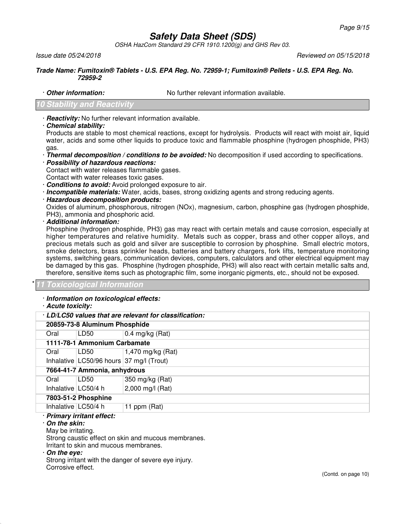OSHA HazCom Standard 29 CFR 1910.1200(g) and GHS Rev 03.

Issue date 05/24/2018 Reviewed on 05/15/2018

#### **Trade Name: Fumitoxin® Tablets - U.S. EPA Reg. No. 72959-1; Fumitoxin® Pellets - U.S. EPA Reg. No. 72959-2**

· **Other information:** No further relevant information available.

## **Stability and Reacti**v

- · **Reactivity:** No further relevant information available.
- · **Chemical stability:**

Products are stable to most chemical reactions, except for hydrolysis. Products will react with moist air, liquid water, acids and some other liquids to produce toxic and flammable phosphine (hydrogen phosphide, PH3) gas.

- · **Thermal decomposition / conditions to be avoided:** No decomposition if used according to specifications.
- · **Possibility of hazardous reactions:**
- Contact with water releases flammable gases.
- Contact with water releases toxic gases.
- · **Conditions to avoid:** Avoid prolonged exposure to air.
- · **Incompatible materials:** Water, acids, bases, strong oxidizing agents and strong reducing agents.
- · **Hazardous decomposition products:**

Oxides of aluminum, phosphorous, nitrogen (NOx), magnesium, carbon, phosphine gas (hydrogen phosphide, PH3), ammonia and phosphoric acid.

· **Additional information:**

Phosphine (hydrogen phosphide, PH3) gas may react with certain metals and cause corrosion, especially at higher temperatures and relative humidity. Metals such as copper, brass and other copper alloys, and precious metals such as gold and silver are susceptible to corrosion by phosphine. Small electric motors, smoke detectors, brass sprinkler heads, batteries and battery chargers, fork lifts, temperature monitoring systems, switching gears, communication devices, computers, calculators and other electrical equipment may be damaged by this gas. Phosphine (hydrogen phosphide, PH3) will also react with certain metallic salts and, therefore, sensitive items such as photographic film, some inorganic pigments, etc., should not be exposed.

### \* **11 Toxicological Information**

## · **Information on toxicological effects:**

· **Acute toxicity:**

| · LD/LC50 values that are relevant for classification: |                                             |                   |  |
|--------------------------------------------------------|---------------------------------------------|-------------------|--|
|                                                        | 20859-73-8 Aluminum Phosphide               |                   |  |
| Oral                                                   | LD50                                        | $0.4$ mg/kg (Rat) |  |
|                                                        | 1111-78-1 Ammonium Carbamate                |                   |  |
| Oral                                                   | LD50                                        | 1,470 mg/kg (Rat) |  |
|                                                        | Inhalative $ LG50/96$ hours 37 mg/l (Trout) |                   |  |
|                                                        | 7664-41-7 Ammonia, anhydrous                |                   |  |
| Oral                                                   | LD50                                        | 350 mg/kg (Rat)   |  |
| Inhalative $ LG50/4$ h                                 |                                             | 2,000 mg/l (Rat)  |  |
|                                                        | 7803-51-2 Phosphine                         |                   |  |
| Inhalative LC50/4 h                                    |                                             | 11 ppm (Rat)      |  |
| · Primary irritant effect:<br>. On tha akin:           |                                             |                   |  |

#### · **On the skin:**

May be irritating.

Strong caustic effect on skin and mucous membranes.

Irritant to skin and mucous membranes.

### · **On the eye:**

Strong irritant with the danger of severe eye injury. Corrosive effect.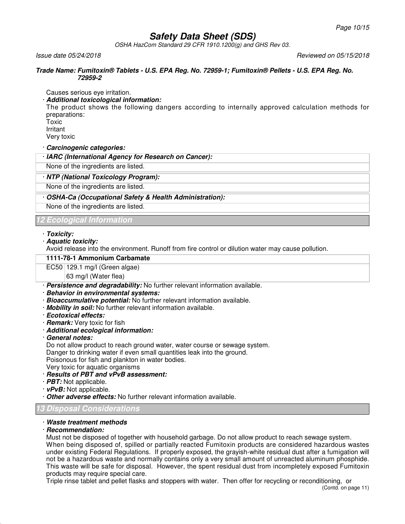OSHA HazCom Standard 29 CFR 1910.1200(g) and GHS Rev 03.

Issue date 05/24/2018 Reviewed on 05/15/2018

#### **Trade Name: Fumitoxin® Tablets - U.S. EPA Reg. No. 72959-1; Fumitoxin® Pellets - U.S. EPA Reg. No. 72959-2**

Causes serious eye irritation.

## · **Additional toxicological information:**

The product shows the following dangers according to internally approved calculation methods for preparations:

Toxic Irritant Very toxic

· **Carcinogenic categories:**

· **IARC (International Agency for Research on Cancer):**

None of the ingredients are listed.

## · **NTP (National Toxicology Program):**

None of the ingredients are listed.

### · **OSHA-Ca (Occupational Safety & Health Administration):**

None of the ingredients are listed.

## **12 Ecological Information**

### · **Toxicity:**

· **Aquatic toxicity:**

Avoid release into the environment. Runoff from fire control or dilution water may cause pollution.

### **1111-78-1 Ammonium Carbamate**

### $EC50$  129.1 mg/l (Green algae)

63 mg/l (Water flea)

- · **Persistence and degradability:** No further relevant information available.
- · **Behavior in environmental systems:**
- · **Bioaccumulative potential:** No further relevant information available.
- · **Mobility in soil:** No further relevant information available.
- · **Ecotoxical effects:**
- · **Remark:** Very toxic for fish
- · **Additional ecological information:**
- · **General notes:**

Do not allow product to reach ground water, water course or sewage system.

Danger to drinking water if even small quantities leak into the ground.

Poisonous for fish and plankton in water bodies.

- Very toxic for aquatic organisms
- · **Results of PBT and vPvB assessment:**
- · **PBT:** Not applicable.
- · **vPvB:** Not applicable.
- · **Other adverse effects:** No further relevant information available.

## **13 Disposal Considerations**

## · **Waste treatment methods**

### · **Recommendation:**

Must not be disposed of together with household garbage. Do not allow product to reach sewage system. When being disposed of, spilled or partially reacted Fumitoxin products are considered hazardous wastes under existing Federal Regulations. If properly exposed, the grayish-white residual dust after a fumigation will not be a hazardous waste and normally contains only a very small amount of unreacted aluminum phosphide. This waste will be safe for disposal. However, the spent residual dust from incompletely exposed Fumitoxin products may require special care.

Triple rinse tablet and pellet flasks and stoppers with water. Then offer for recycling or reconditioning, or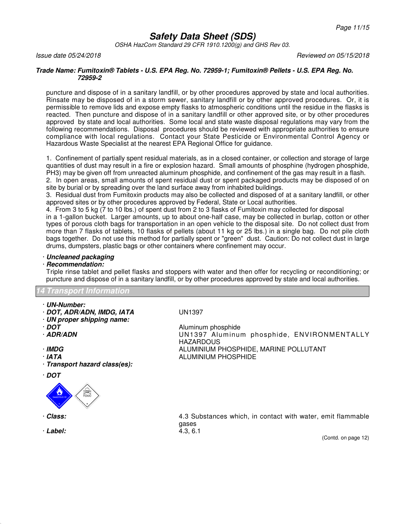OSHA HazCom Standard 29 CFR 1910.1200(g) and GHS Rev 03.

### Issue date 05/24/2018 Reviewed on 05/15/2018

#### **Trade Name: Fumitoxin® Tablets - U.S. EPA Reg. No. 72959-1; Fumitoxin® Pellets - U.S. EPA Reg. No. 72959-2**

puncture and dispose of in a sanitary landfill, or by other procedures approved by state and local authorities. Rinsate may be disposed of in a storm sewer, sanitary landfill or by other approved procedures. Or, it is permissible to remove lids and expose empty flasks to atmospheric conditions until the residue in the flasks is reacted. Then puncture and dispose of in a sanitary landfill or other approved site, or by other procedures approved by state and local authorities. Some local and state waste disposal regulations may vary from the following recommendations. Disposal procedures should be reviewed with appropriate authorities to ensure compliance with local regulations. Contact your State Pesticide or Environmental Control Agency or Hazardous Waste Specialist at the nearest EPA Regional Office for guidance.

1. Confinement of partially spent residual materials, as in a closed container, or collection and storage of large quantities of dust may result in a fire or explosion hazard. Small amounts of phosphine (hydrogen phosphide, PH3) may be given off from unreacted aluminum phosphide, and confinement of the gas may result in a flash.

2. In open areas, small amounts of spent residual dust or spent packaged products may be disposed of on site by burial or by spreading over the land surface away from inhabited buildings.

3. Residual dust from Fumitoxin products may also be collected and disposed of at a sanitary landfill, or other approved sites or by other procedures approved by Federal, State or Local authorities.

4. From 3 to 5 kg (7 to 10 lbs.) of spent dust from 2 to 3 flasks of Fumitoxin may collected for disposal

in a 1-gallon bucket. Larger amounts, up to about one-half case, may be collected in burlap, cotton or other types of porous cloth bags for transportation in an open vehicle to the disposal site. Do not collect dust from more than 7 flasks of tablets, 10 flasks of pellets (about 11 kg or 25 lbs.) in a single bag. Do not pile cloth bags together. Do not use this method for partially spent or "green" dust. Caution: Do not collect dust in large drums, dumpsters, plastic bags or other containers where confinement may occur.

### · **Uncleaned packaging**

### · **Recommendation:**

Triple rinse tablet and pellet flasks and stoppers with water and then offer for recycling or reconditioning; or puncture and dispose of in a sanitary landfill, or by other procedures approved by state and local authorities.

### **14 Transport Information**

- · **UN-Number:**
- · **DOT, ADR/ADN, IMDG, IATA** UN1397
- · **UN proper shipping name:**
- 
- 
- 
- 
- · **Transport hazard class(es):**
- · **DOT**



- 
- · **Label:** 4.3, 6.1

· **DOT**<br>**ADR/ADN** Aluminum phosphide<br>
UN1397 Aluminum UN1397 Aluminum phosphide, ENVIRONMENTALLY HAZARDOUS · **IMDG** ALUMINIUM PHOSPHIDE, MARINE POLLUTANT · **IATA** ALUMINIUM PHOSPHIDE

· **Class:** 4.3 Substances which, in contact with water, emit flammable gases

(Contd. on page 12)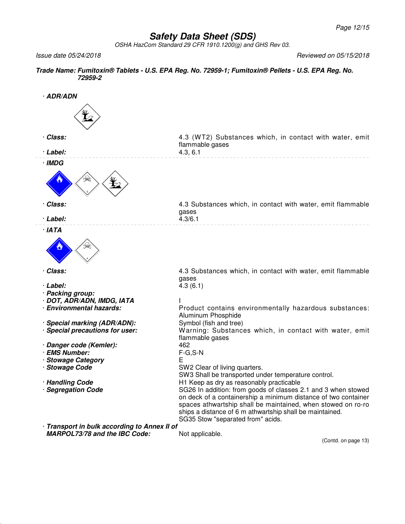OSHA HazCom Standard 29 CFR 1910.1200(g) and GHS Rev 03.

Issue date 05/24/2018 Reviewed on 05/15/2018

## **Trade Name: Fumitoxin® Tablets - U.S. EPA Reg. No. 72959-1; Fumitoxin® Pellets - U.S. EPA Reg. No. 72959-2**

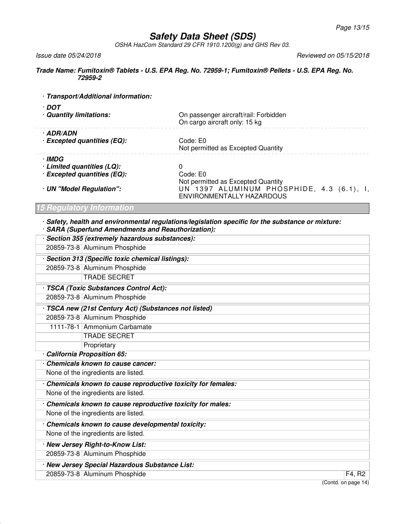OSHA HazCom Standard 29 CFR 1910.1200(g) and GHS Rev 03.

Issue date 05/24/2018 Reviewed on 05/15/2018

#### **Trade Name: Fumitoxin® Tablets - U.S. EPA Reg. No. 72959-1; Fumitoxin® Pellets - U.S. EPA Reg. No. 72959-2**

|  |  |  |  | · Transport/Additional information: |
|--|--|--|--|-------------------------------------|
|--|--|--|--|-------------------------------------|

| · DOT<br>· Quantity limitations: | On passenger aircraft/rail: Forbidden<br>On cargo aircraft only: 15 kg                                       |
|----------------------------------|--------------------------------------------------------------------------------------------------------------|
| · ADR/ADN                        |                                                                                                              |
| · Excepted quantities (EQ):      | Code: E0<br>Not permitted as Excepted Quantity                                                               |
| · IMDG                           |                                                                                                              |
| · Limited quantities (LQ):       | 0                                                                                                            |
| · Excepted quantities (EQ):      | Code: E0                                                                                                     |
| · UN "Model Regulation":         | Not permitted as Excepted Quantity<br>UN 1397 ALUMINUM PHOSPHIDE, 4.3 (6.1), I,<br>ENVIRONMENTALLY HAZARDOUS |

## **15 Regulatory Information**

· **Safety, health and environmental regulations/legislation specific for the substance or mixture:**

|  | · SARA (Superfund Amendments and Reauthorization): |  |  |
|--|----------------------------------------------------|--|--|
|  |                                                    |  |  |

| Section 355 (extremely hazardous substances):               |  |
|-------------------------------------------------------------|--|
| 20859-73-8 Aluminum Phosphide                               |  |
| Section 313 (Specific toxic chemical listings):             |  |
| 20859-73-8 Aluminum Phosphide                               |  |
| <b>TRADE SECRET</b>                                         |  |
| · TSCA (Toxic Substances Control Act):                      |  |
| 20859-73-8 Aluminum Phosphide                               |  |
| · TSCA new (21st Century Act) (Substances not listed)       |  |
| 20859-73-8 Aluminum Phosphide                               |  |
| 1111-78-1 Ammonium Carbamate                                |  |
| <b>TRADE SECRET</b>                                         |  |
| Proprietary                                                 |  |
| California Proposition 65:                                  |  |
| Chemicals known to cause cancer:                            |  |
| None of the ingredients are listed.                         |  |
| Chemicals known to cause reproductive toxicity for females: |  |
| None of the ingredients are listed.                         |  |
| Chemicals known to cause reproductive toxicity for males:   |  |
| None of the ingredients are listed.                         |  |
| Chemicals known to cause developmental toxicity:            |  |
| None of the ingredients are listed.                         |  |
| · New Jersey Right-to-Know List:                            |  |
| 20859-73-8 Aluminum Phosphide                               |  |
| · New Jersey Special Hazardous Substance List:              |  |
| 20859-73-8 Aluminum Phosphide<br>F4, R2                     |  |
| $(C_{\text{and}} \cap \text{Area} \cdot 14)$                |  |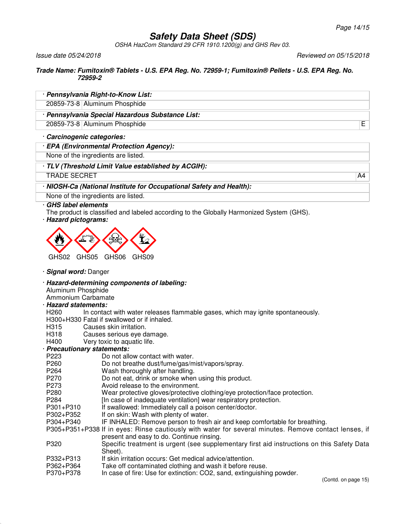OSHA HazCom Standard 29 CFR 1910.1200(g) and GHS Rev 03.

Issue date 05/24/2018 Reviewed on 05/15/2018

### **Trade Name: Fumitoxin® Tablets - U.S. EPA Reg. No. 72959-1; Fumitoxin® Pellets - U.S. EPA Reg. No. 72959-2**

|                                          | · Pennsylvania Right-to-Know List:                                                                    |                     |
|------------------------------------------|-------------------------------------------------------------------------------------------------------|---------------------|
|                                          | 20859-73-8 Aluminum Phosphide                                                                         |                     |
|                                          | · Pennsylvania Special Hazardous Substance List:                                                      |                     |
|                                          | 20859-73-8 Aluminum Phosphide                                                                         | E                   |
| · Carcinogenic categories:               |                                                                                                       |                     |
|                                          | · EPA (Environmental Protection Agency):                                                              |                     |
|                                          | None of the ingredients are listed.                                                                   |                     |
|                                          | · TLV (Threshold Limit Value established by ACGIH):                                                   |                     |
| <b>TRADE SECRET</b>                      |                                                                                                       | A4                  |
|                                          | · NIOSH-Ca (National Institute for Occupational Safety and Health):                                   |                     |
|                                          | None of the ingredients are listed.                                                                   |                     |
| · GHS label elements                     |                                                                                                       |                     |
|                                          | The product is classified and labeled according to the Globally Harmonized System (GHS).              |                     |
| · Hazard pictograms:                     |                                                                                                       |                     |
|                                          |                                                                                                       |                     |
|                                          |                                                                                                       |                     |
|                                          |                                                                                                       |                     |
| GHS02<br>GHS05                           | GHS06<br>GHS09                                                                                        |                     |
| · Signal word: Danger                    |                                                                                                       |                     |
|                                          |                                                                                                       |                     |
|                                          | · Hazard-determining components of labeling:                                                          |                     |
| Aluminum Phosphide<br>Ammonium Carbamate |                                                                                                       |                     |
| · Hazard statements:                     |                                                                                                       |                     |
| H <sub>260</sub>                         | In contact with water releases flammable gases, which may ignite spontaneously.                       |                     |
|                                          | H300+H330 Fatal if swallowed or if inhaled.                                                           |                     |
| H315                                     | Causes skin irritation.                                                                               |                     |
| H318                                     | Causes serious eye damage.                                                                            |                     |
| H400                                     | Very toxic to aquatic life.                                                                           |                     |
| · Precautionary statements:              |                                                                                                       |                     |
| P223<br>P260                             | Do not allow contact with water.                                                                      |                     |
| P <sub>264</sub>                         | Do not breathe dust/fume/gas/mist/vapors/spray.                                                       |                     |
| P270                                     | Wash thoroughly after handling.<br>Do not eat, drink or smoke when using this product.                |                     |
| P273                                     | Avoid release to the environment.                                                                     |                     |
| P280                                     | Wear protective gloves/protective clothing/eye protection/face protection.                            |                     |
| P284                                     | [In case of inadequate ventilation] wear respiratory protection.                                      |                     |
| P301+P310                                | If swallowed: Immediately call a poison center/doctor.                                                |                     |
| P302+P352                                | If on skin: Wash with plenty of water.                                                                |                     |
| P304+P340                                | IF INHALED: Remove person to fresh air and keep comfortable for breathing.                            |                     |
|                                          | P305+P351+P338 If in eyes: Rinse cautiously with water for several minutes. Remove contact lenses, if |                     |
|                                          | present and easy to do. Continue rinsing.                                                             |                     |
| P320                                     | Specific treatment is urgent (see supplementary first aid instructions on this Safety Data            |                     |
|                                          | Sheet).                                                                                               |                     |
| P332+P313                                | If skin irritation occurs: Get medical advice/attention.                                              |                     |
| P362+P364                                | Take off contaminated clothing and wash it before reuse.                                              |                     |
| P370+P378                                | In case of fire: Use for extinction: CO2, sand, extinguishing powder.                                 | (Contd. on page 15) |
|                                          |                                                                                                       |                     |